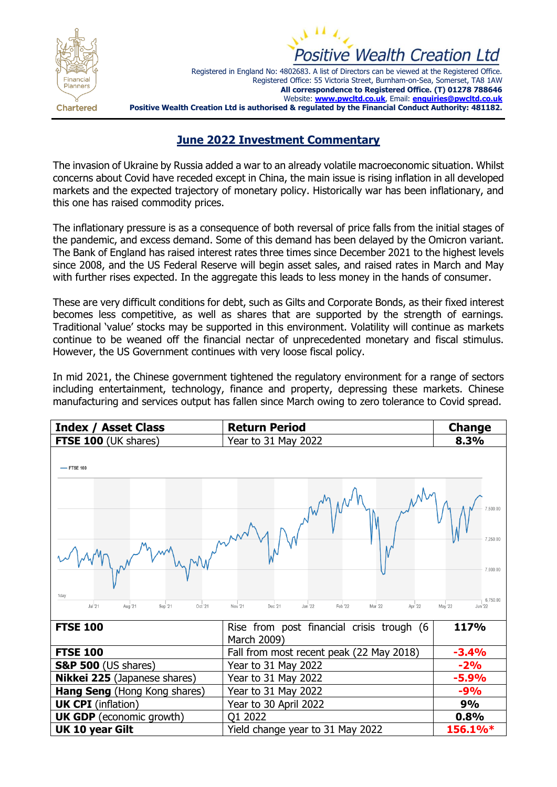



Registered in England No: 4802683. A list of Directors can be viewed at the Registered Office. Registered Office: 55 Victoria Street, Burnham-on-Sea, Somerset, TA8 1AW **All correspondence to Registered Office. (T) 01278 788646**  Website: **[www.pwcltd.co.uk](http://www.pwcltd.co.uk/)**, Email: **[enquiries@pwcltd.co.uk](mailto:enquiries@pwcltd.co.uk) Positive Wealth Creation Ltd is authorised & regulated by the Financial Conduct Authority: 481182.**

## **June 2022 Investment Commentary**

The invasion of Ukraine by Russia added a war to an already volatile macroeconomic situation. Whilst concerns about Covid have receded except in China, the main issue is rising inflation in all developed markets and the expected trajectory of monetary policy. Historically war has been inflationary, and this one has raised commodity prices.

The inflationary pressure is as a consequence of both reversal of price falls from the initial stages of the pandemic, and excess demand. Some of this demand has been delayed by the Omicron variant. The Bank of England has raised interest rates three times since December 2021 to the highest levels since 2008, and the US Federal Reserve will begin asset sales, and raised rates in March and May with further rises expected. In the aggregate this leads to less money in the hands of consumer.

These are very difficult conditions for debt, such as Gilts and Corporate Bonds, as their fixed interest becomes less competitive, as well as shares that are supported by the strength of earnings. Traditional 'value' stocks may be supported in this environment. Volatility will continue as markets continue to be weaned off the financial nectar of unprecedented monetary and fiscal stimulus. However, the US Government continues with very loose fiscal policy.

In mid 2021, the Chinese government tightened the regulatory environment for a range of sectors including entertainment, technology, finance and property, depressing these markets. Chinese manufacturing and services output has fallen since March owing to zero tolerance to Covid spread.

| <b>Index / Asset Class</b>                      | <b>Return Period</b>                                           | <b>Change</b>                                          |  |
|-------------------------------------------------|----------------------------------------------------------------|--------------------------------------------------------|--|
| <b>FTSE 100 (UK shares)</b>                     | Year to 31 May 2022                                            | 8.3%                                                   |  |
| -FTSE 100<br>7,500.00                           |                                                                |                                                        |  |
| 1day<br>Jul '21<br>Aug 21<br>Oct '21<br>Sep '21 | Jan '22<br>Feb '22<br>Mar '22<br>Apr '22<br>Nov '21<br>Dec '21 | 7.250.00<br>7.000.00<br>6,750.00<br>May '22<br>Jun '22 |  |
| <b>FTSE 100</b>                                 | Rise from post financial crisis trough (6<br>March 2009)       | 117%                                                   |  |
| <b>FTSE 100</b>                                 | Fall from most recent peak (22 May 2018)                       | $-3.4%$                                                |  |
| <b>S&amp;P 500</b> (US shares)                  | Year to 31 May 2022                                            | $-2%$                                                  |  |
| Nikkei 225 (Japanese shares)                    | Year to 31 May 2022                                            | $-5.9%$                                                |  |
| Hang Seng (Hong Kong shares)                    | Year to 31 May 2022                                            | $-9%$                                                  |  |
| <b>UK CPI</b> (inflation)                       | Year to 30 April 2022                                          | 9%                                                     |  |
| <b>UK GDP</b> (economic growth)                 | Q1 2022                                                        | 0.8%                                                   |  |
| UK 10 year Gilt                                 | Yield change year to 31 May 2022                               | 156.1%*                                                |  |